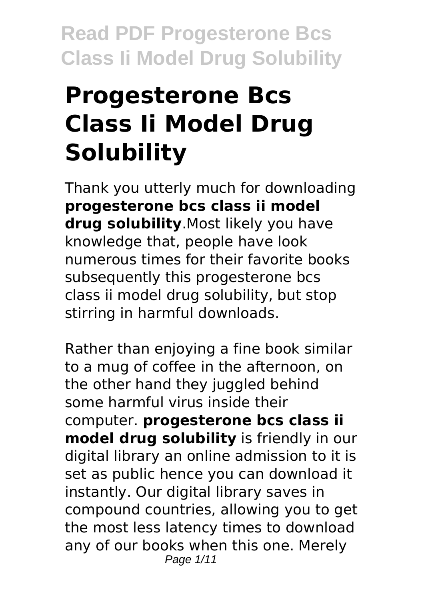# **Progesterone Bcs Class Ii Model Drug Solubility**

Thank you utterly much for downloading **progesterone bcs class ii model drug solubility**.Most likely you have knowledge that, people have look numerous times for their favorite books subsequently this progesterone bcs class ii model drug solubility, but stop stirring in harmful downloads.

Rather than enjoying a fine book similar to a mug of coffee in the afternoon, on the other hand they juggled behind some harmful virus inside their computer. **progesterone bcs class ii model drug solubility** is friendly in our digital library an online admission to it is set as public hence you can download it instantly. Our digital library saves in compound countries, allowing you to get the most less latency times to download any of our books when this one. Merely Page 1/11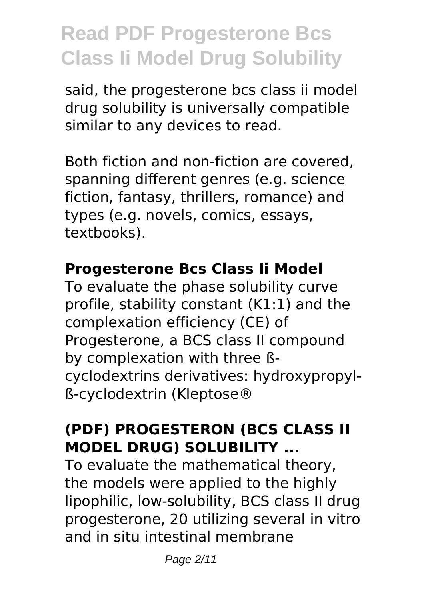said, the progesterone bcs class ii model drug solubility is universally compatible similar to any devices to read.

Both fiction and non-fiction are covered, spanning different genres (e.g. science fiction, fantasy, thrillers, romance) and types (e.g. novels, comics, essays, textbooks).

#### **Progesterone Bcs Class Ii Model**

To evaluate the phase solubility curve profile, stability constant (K1:1) and the complexation efficiency (CE) of Progesterone, a BCS class II compound by complexation with three ßcyclodextrins derivatives: hydroxypropylß-cyclodextrin (Kleptose®

### **(PDF) PROGESTERON (BCS CLASS II MODEL DRUG) SOLUBILITY ...**

To evaluate the mathematical theory, the models were applied to the highly lipophilic, low-solubility, BCS class II drug progesterone, 20 utilizing several in vitro and in situ intestinal membrane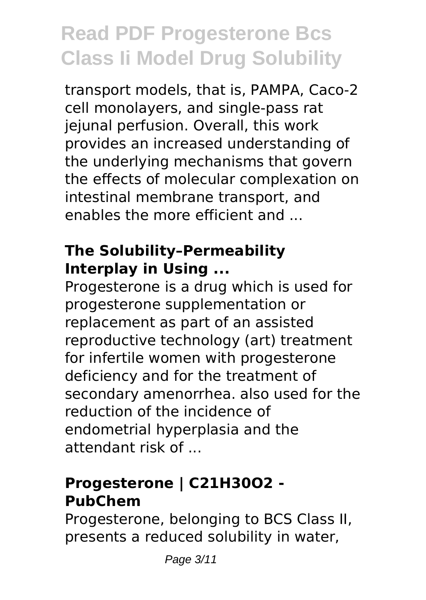transport models, that is, PAMPA, Caco-2 cell monolayers, and single-pass rat jejunal perfusion. Overall, this work provides an increased understanding of the underlying mechanisms that govern the effects of molecular complexation on intestinal membrane transport, and enables the more efficient and

#### **The Solubility–Permeability Interplay in Using ...**

Progesterone is a drug which is used for progesterone supplementation or replacement as part of an assisted reproductive technology (art) treatment for infertile women with progesterone deficiency and for the treatment of secondary amenorrhea. also used for the reduction of the incidence of endometrial hyperplasia and the attendant risk of ...

### **Progesterone | C21H30O2 - PubChem**

Progesterone, belonging to BCS Class II, presents a reduced solubility in water,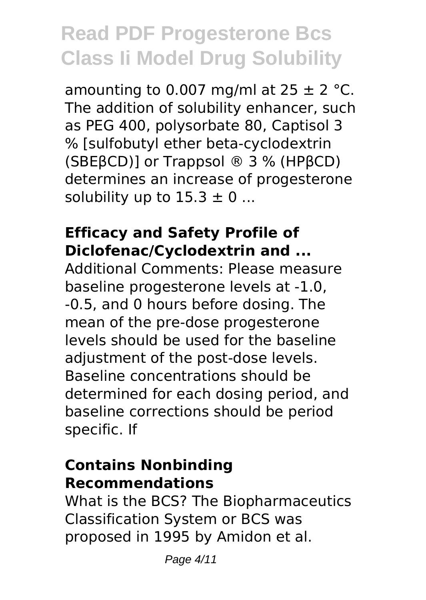amounting to 0.007 mg/ml at  $25 \pm 2$  °C. The addition of solubility enhancer, such as PEG 400, polysorbate 80, Captisol 3 % [sulfobutyl ether beta-cyclodextrin (SBEβCD)] or Trappsol ® 3 % (HPβCD) determines an increase of progesterone solubility up to  $15.3 \pm 0$  ...

#### **Efficacy and Safety Profile of Diclofenac/Cyclodextrin and ...**

Additional Comments: Please measure baseline progesterone levels at -1.0, -0.5, and 0 hours before dosing. The mean of the pre-dose progesterone levels should be used for the baseline adjustment of the post-dose levels. Baseline concentrations should be determined for each dosing period, and baseline corrections should be period specific. If

#### **Contains Nonbinding Recommendations**

What is the BCS? The Biopharmaceutics Classification System or BCS was proposed in 1995 by Amidon et al.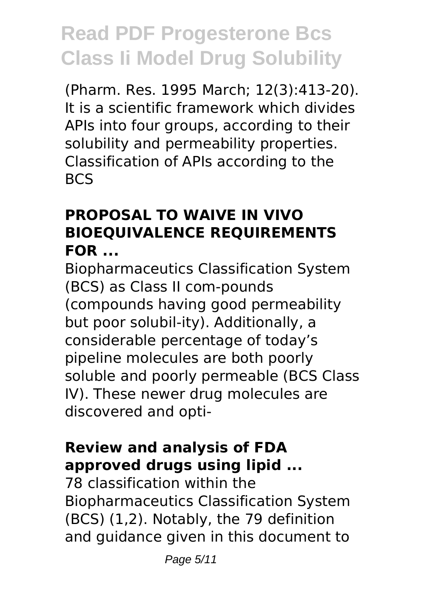(Pharm. Res. 1995 March; 12(3):413-20). It is a scientific framework which divides APIs into four groups, according to their solubility and permeability properties. Classification of APIs according to the BCS

### **PROPOSAL TO WAIVE IN VIVO BIOEQUIVALENCE REQUIREMENTS FOR ...**

Biopharmaceutics Classification System (BCS) as Class II com-pounds (compounds having good permeability but poor solubil-ity). Additionally, a considerable percentage of today's pipeline molecules are both poorly soluble and poorly permeable (BCS Class IV). These newer drug molecules are discovered and opti-

### **Review and analysis of FDA approved drugs using lipid ...**

78 classification within the Biopharmaceutics Classification System (BCS) (1,2). Notably, the 79 definition and guidance given in this document to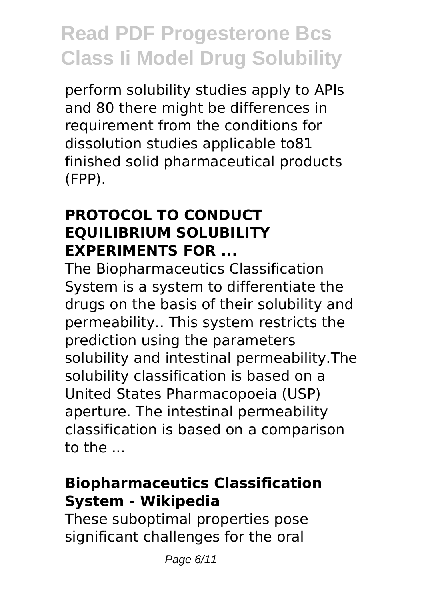perform solubility studies apply to APIs and 80 there might be differences in requirement from the conditions for dissolution studies applicable to81 finished solid pharmaceutical products (FPP).

#### **PROTOCOL TO CONDUCT EQUILIBRIUM SOLUBILITY EXPERIMENTS FOR ...**

The Biopharmaceutics Classification System is a system to differentiate the drugs on the basis of their solubility and permeability.. This system restricts the prediction using the parameters solubility and intestinal permeability.The solubility classification is based on a United States Pharmacopoeia (USP) aperture. The intestinal permeability classification is based on a comparison to the ...

#### **Biopharmaceutics Classification System - Wikipedia**

These suboptimal properties pose significant challenges for the oral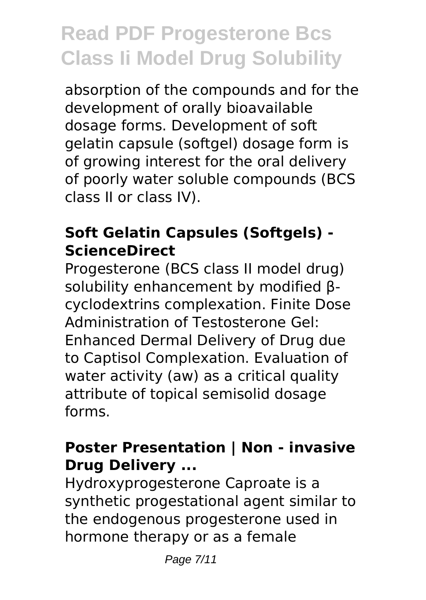absorption of the compounds and for the development of orally bioavailable dosage forms. Development of soft gelatin capsule (softgel) dosage form is of growing interest for the oral delivery of poorly water soluble compounds (BCS class II or class IV).

### **Soft Gelatin Capsules (Softgels) - ScienceDirect**

Progesterone (BCS class II model drug) solubility enhancement by modified βcyclodextrins complexation. Finite Dose Administration of Testosterone Gel: Enhanced Dermal Delivery of Drug due to Captisol Complexation. Evaluation of water activity (aw) as a critical quality attribute of topical semisolid dosage forms.

### **Poster Presentation | Non - invasive Drug Delivery ...**

Hydroxyprogesterone Caproate is a synthetic progestational agent similar to the endogenous progesterone used in hormone therapy or as a female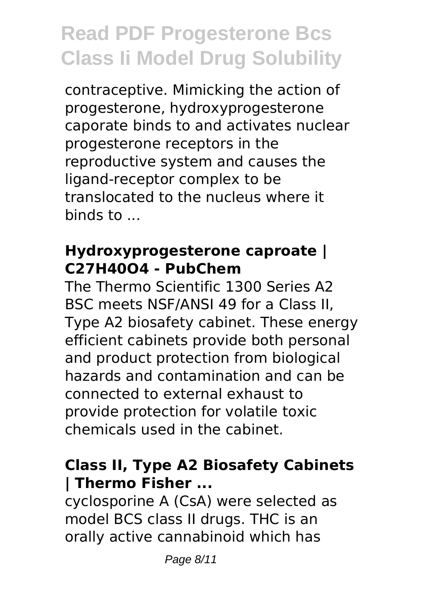contraceptive. Mimicking the action of progesterone, hydroxyprogesterone caporate binds to and activates nuclear progesterone receptors in the reproductive system and causes the ligand-receptor complex to be translocated to the nucleus where it binds to ...

#### **Hydroxyprogesterone caproate | C27H40O4 - PubChem**

The Thermo Scientific 1300 Series A2 BSC meets NSF/ANSI 49 for a Class II, Type A2 biosafety cabinet. These energy efficient cabinets provide both personal and product protection from biological hazards and contamination and can be connected to external exhaust to provide protection for volatile toxic chemicals used in the cabinet.

### **Class II, Type A2 Biosafety Cabinets | Thermo Fisher ...**

cyclosporine A (CsA) were selected as model BCS class II drugs. THC is an orally active cannabinoid which has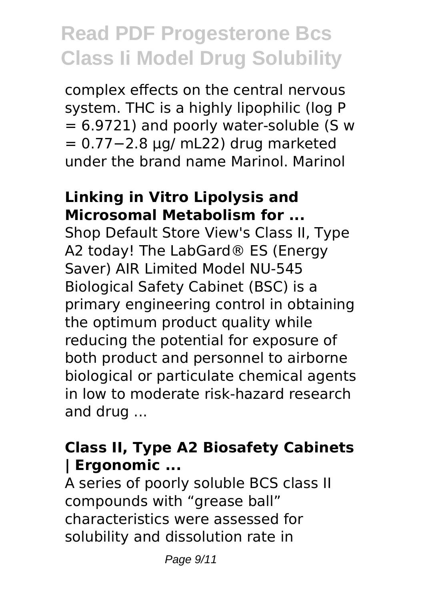complex effects on the central nervous system. THC is a highly lipophilic (log P  $= 6.9721$ ) and poorly water-soluble (S w = 0.77−2.8 μg/ mL22) drug marketed under the brand name Marinol. Marinol

#### **Linking in Vitro Lipolysis and Microsomal Metabolism for ...**

Shop Default Store View's Class II, Type A2 today! The LabGard® ES (Energy Saver) AIR Limited Model NU-545 Biological Safety Cabinet (BSC) is a primary engineering control in obtaining the optimum product quality while reducing the potential for exposure of both product and personnel to airborne biological or particulate chemical agents in low to moderate risk-hazard research and drug ...

### **Class II, Type A2 Biosafety Cabinets | Ergonomic ...**

A series of poorly soluble BCS class II compounds with "grease ball" characteristics were assessed for solubility and dissolution rate in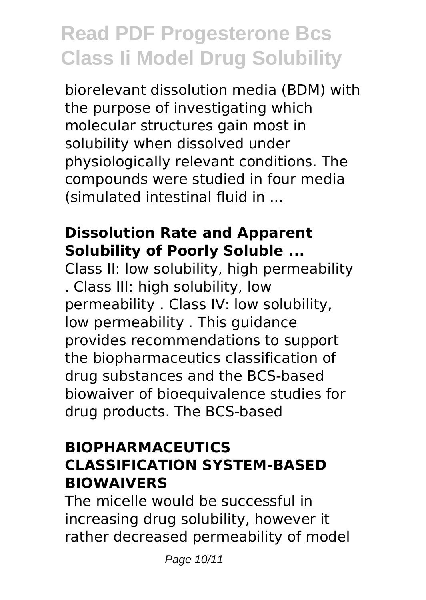biorelevant dissolution media (BDM) with the purpose of investigating which molecular structures gain most in solubility when dissolved under physiologically relevant conditions. The compounds were studied in four media (simulated intestinal fluid in ...

#### **Dissolution Rate and Apparent Solubility of Poorly Soluble ...**

Class II: low solubility, high permeability . Class III: high solubility, low permeability . Class IV: low solubility, low permeability . This guidance provides recommendations to support the biopharmaceutics classification of drug substances and the BCS-based biowaiver of bioequivalence studies for drug products. The BCS-based

### **BIOPHARMACEUTICS CLASSIFICATION SYSTEM-BASED BIOWAIVERS**

The micelle would be successful in increasing drug solubility, however it rather decreased permeability of model